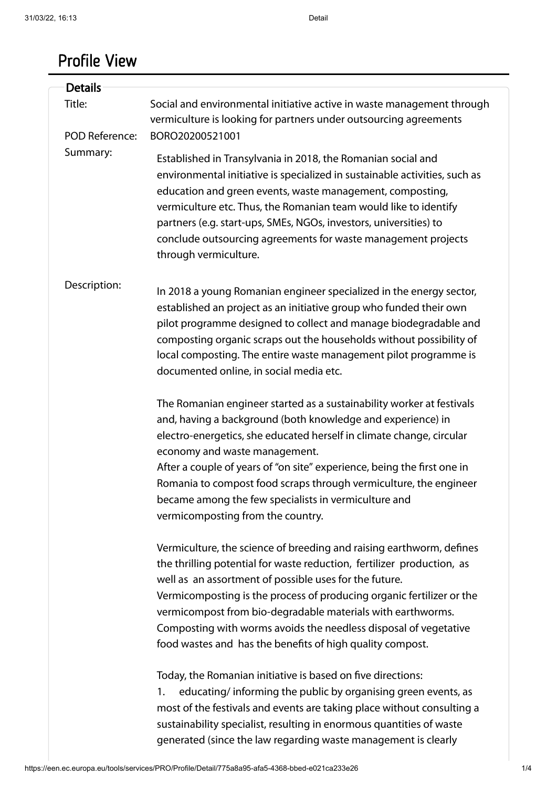## Profile View

| <b>Details</b>                  |                                                                                                                                                                                                                                                                                                                                                                                                                                                                                            |
|---------------------------------|--------------------------------------------------------------------------------------------------------------------------------------------------------------------------------------------------------------------------------------------------------------------------------------------------------------------------------------------------------------------------------------------------------------------------------------------------------------------------------------------|
| Title:<br><b>POD Reference:</b> | Social and environmental initiative active in waste management through<br>vermiculture is looking for partners under outsourcing agreements<br>BORO20200521001                                                                                                                                                                                                                                                                                                                             |
| Summary:                        | Established in Transylvania in 2018, the Romanian social and<br>environmental initiative is specialized in sustainable activities, such as<br>education and green events, waste management, composting,<br>vermiculture etc. Thus, the Romanian team would like to identify<br>partners (e.g. start-ups, SMEs, NGOs, investors, universities) to<br>conclude outsourcing agreements for waste management projects<br>through vermiculture.                                                 |
| Description:                    | In 2018 a young Romanian engineer specialized in the energy sector,<br>established an project as an initiative group who funded their own<br>pilot programme designed to collect and manage biodegradable and<br>composting organic scraps out the households without possibility of<br>local composting. The entire waste management pilot programme is<br>documented online, in social media etc.                                                                                        |
|                                 | The Romanian engineer started as a sustainability worker at festivals<br>and, having a background (both knowledge and experience) in<br>electro-energetics, she educated herself in climate change, circular<br>economy and waste management.<br>After a couple of years of "on site" experience, being the first one in<br>Romania to compost food scraps through vermiculture, the engineer<br>became among the few specialists in vermiculture and<br>vermicomposting from the country. |
|                                 | Vermiculture, the science of breeding and raising earthworm, defines<br>the thrilling potential for waste reduction, fertilizer production, as<br>well as an assortment of possible uses for the future.<br>Vermicomposting is the process of producing organic fertilizer or the<br>vermicompost from bio-degradable materials with earthworms.<br>Composting with worms avoids the needless disposal of vegetative<br>food wastes and has the benefits of high quality compost.          |
|                                 | Today, the Romanian initiative is based on five directions:<br>educating/informing the public by organising green events, as<br>1.<br>most of the festivals and events are taking place without consulting a<br>sustainability specialist, resulting in enormous quantities of waste<br>generated (since the law regarding waste management is clearly                                                                                                                                     |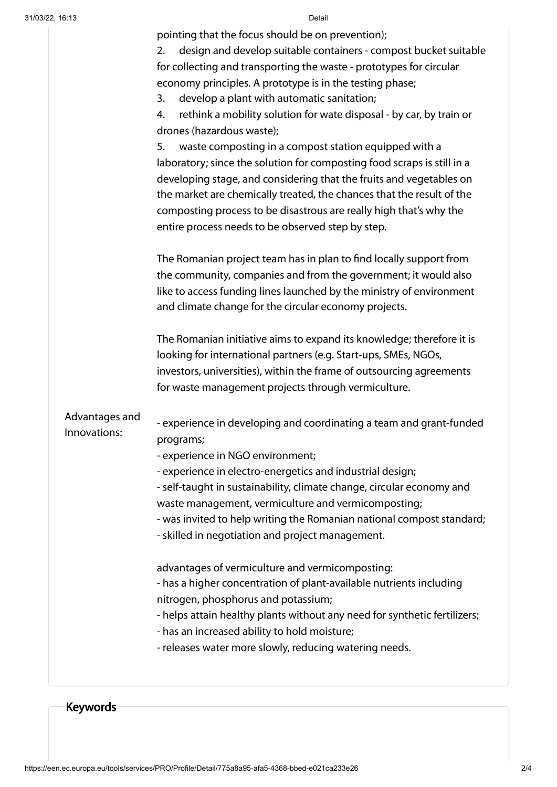|  |  |  | pointing that the focus should be on prevention); |  |
|--|--|--|---------------------------------------------------|--|
|  |  |  |                                                   |  |

|                | - releases water more slowly, reducing watering needs.                                                                        |
|----------------|-------------------------------------------------------------------------------------------------------------------------------|
|                | - has an increased ability to hold moisture;                                                                                  |
|                | nitrogen, phosphorus and potassium;<br>- helps attain healthy plants without any need for synthetic fertilizers;              |
|                | - has a higher concentration of plant-available nutrients including                                                           |
|                | advantages of vermiculture and vermicomposting:                                                                               |
|                |                                                                                                                               |
|                | - was invited to help writing the Romanian national compost standard;<br>- skilled in negotiation and project management.     |
|                | waste management, vermiculture and vermicomposting;                                                                           |
|                | - self-taught in sustainability, climate change, circular economy and                                                         |
|                | - experience in electro-energetics and industrial design;                                                                     |
|                | - experience in NGO environment;                                                                                              |
| Innovations:   | - experience in developing and coordinating a team and grant-funded<br>programs;                                              |
| Advantages and |                                                                                                                               |
|                | for waste management projects through vermiculture.                                                                           |
|                | investors, universities), within the frame of outsourcing agreements                                                          |
|                | looking for international partners (e.g. Start-ups, SMEs, NGOs,                                                               |
|                | The Romanian initiative aims to expand its knowledge; therefore it is                                                         |
|                | and climate change for the circular economy projects.                                                                         |
|                | like to access funding lines launched by the ministry of environment                                                          |
|                | the community, companies and from the government; it would also                                                               |
|                | The Romanian project team has in plan to find locally support from                                                            |
|                | entire process needs to be observed step by step.                                                                             |
|                | composting process to be disastrous are really high that's why the                                                            |
|                | the market are chemically treated, the chances that the result of the                                                         |
|                | developing stage, and considering that the fruits and vegetables on                                                           |
|                | laboratory; since the solution for composting food scraps is still in a                                                       |
|                | waste composting in a compost station equipped with a<br>5.                                                                   |
|                | drones (hazardous waste);                                                                                                     |
|                | develop a plant with automatic sanitation;<br>3.<br>rethink a mobility solution for wate disposal - by car, by train or<br>4. |
|                | economy principles. A prototype is in the testing phase;                                                                      |
|                | for collecting and transporting the waste - prototypes for circular                                                           |
|                | design and develop suitable containers - compost bucket suitable<br>2.                                                        |
|                | pointing that the locus should be on preventionly,                                                                            |

Keywords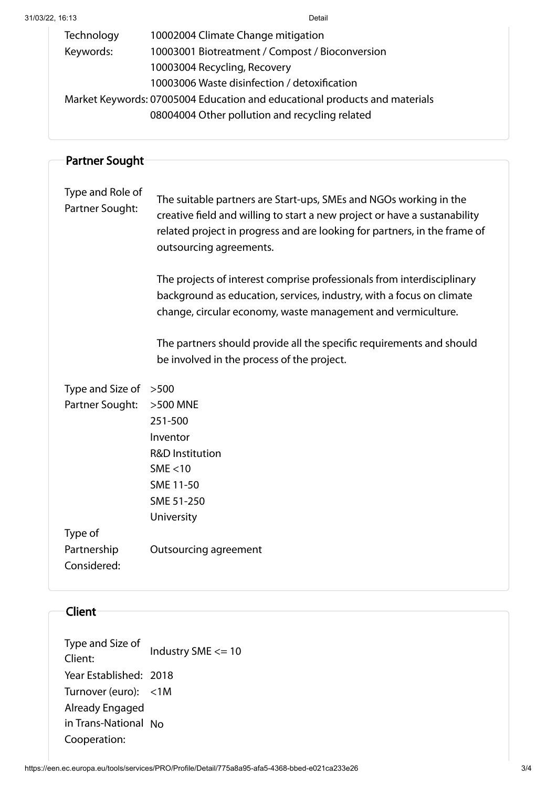| Technology                                                                 | 10002004 Climate Change mitigation              |  |
|----------------------------------------------------------------------------|-------------------------------------------------|--|
| Keywords:                                                                  | 10003001 Biotreatment / Compost / Bioconversion |  |
|                                                                            | 10003004 Recycling, Recovery                    |  |
|                                                                            | 10003006 Waste disinfection / detoxification    |  |
| Market Keywords: 07005004 Education and educational products and materials |                                                 |  |
|                                                                            | 08004004 Other pollution and recycling related  |  |

| <b>Partner Sought</b>               |                                                                                                                                                                                                                                                        |  |  |
|-------------------------------------|--------------------------------------------------------------------------------------------------------------------------------------------------------------------------------------------------------------------------------------------------------|--|--|
| Type and Role of<br>Partner Sought: | The suitable partners are Start-ups, SMEs and NGOs working in the<br>creative field and willing to start a new project or have a sustanability<br>related project in progress and are looking for partners, in the frame of<br>outsourcing agreements. |  |  |
|                                     | The projects of interest comprise professionals from interdisciplinary<br>background as education, services, industry, with a focus on climate<br>change, circular economy, waste management and vermiculture.                                         |  |  |
|                                     | The partners should provide all the specific requirements and should<br>be involved in the process of the project.                                                                                                                                     |  |  |
| Type and Size of                    | >500                                                                                                                                                                                                                                                   |  |  |
| Partner Sought:                     | $>500$ MNE                                                                                                                                                                                                                                             |  |  |
|                                     | 251-500                                                                                                                                                                                                                                                |  |  |
|                                     | Inventor                                                                                                                                                                                                                                               |  |  |
|                                     | <b>R&amp;D Institution</b>                                                                                                                                                                                                                             |  |  |
|                                     | SME < 10                                                                                                                                                                                                                                               |  |  |
|                                     | SME 11-50                                                                                                                                                                                                                                              |  |  |
|                                     | SME 51-250                                                                                                                                                                                                                                             |  |  |
|                                     | University                                                                                                                                                                                                                                             |  |  |
| Type of                             |                                                                                                                                                                                                                                                        |  |  |
| Partnership                         | <b>Outsourcing agreement</b>                                                                                                                                                                                                                           |  |  |
| Considered:                         |                                                                                                                                                                                                                                                        |  |  |
| Client                              |                                                                                                                                                                                                                                                        |  |  |

| Type and Size of<br>Client: | Industry SME <= 10 |
|-----------------------------|--------------------|
| Year Established: 2018      |                    |
| Turnover (euro): <1M        |                    |
| Already Engaged             |                    |
| in Trans-National No        |                    |
| Cooperation:                |                    |
|                             |                    |